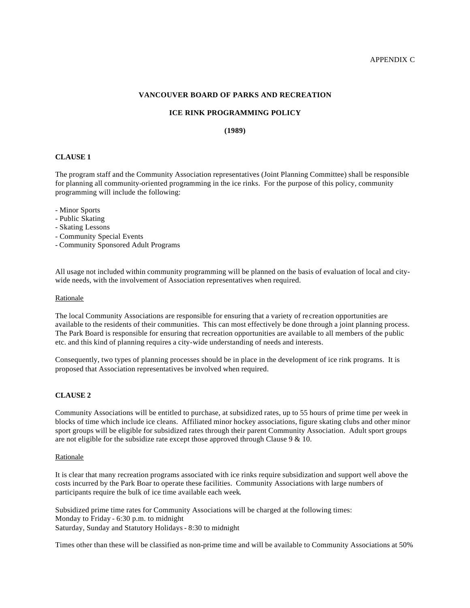#### **VANCOUVER BOARD OF PARKS AND RECREATION**

#### **ICE RINK PROGRAMMING POLICY**

# **(1989)**

# **CLAUSE 1**

The program staff and the Community Association representatives (Joint Planning Committee) shall be responsible for planning all community-oriented programming in the ice rinks. For the purpose of this policy, community programming will include the following:

- Minor Sports
- Public Skating
- Skating Lessons
- Community Special Events
- Community Sponsored Adult Programs

All usage not included within community programming will be planned on the basis of evaluation of local and citywide needs, with the involvement of Association representatives when required.

#### Rationale

The local Community Associations are responsible for ensuring that a variety of recreation opportunities are available to the residents of their communities. This can most effectively be done through a joint planning process. The Park Board is responsible for ensuring that recreation opportunities are available to all members of the public etc. and this kind of planning requires a city-wide understanding of needs and interests.

Consequently, two types of planning processes should be in place in the development of ice rink programs. It is proposed that Association representatives be involved when required.

#### **CLAUSE 2**

Community Associations will be entitled to purchase, at subsidized rates, up to 55 hours of prime time per week in blocks of time which include ice cleans. Affiliated minor hockey associations, figure skating clubs and other minor sport groups will be eligible for subsidized rates through their parent Community Association. Adult sport groups are not eligible for the subsidize rate except those approved through Clause 9 & 10.

#### Rationale

It is clear that many recreation programs associated with ice rinks require subsidization and support well above the costs incurred by the Park Boar to operate these facilities. Community Associations with large numbers of participants require the bulk of ice time available each week.

Subsidized prime time rates for Community Associations will be charged at the following times: Monday to Friday - 6:30 p.m. to midnight Saturday, Sunday and Statutory Holidays - 8:30 to midnight

Times other than these will be classified as non-prime time and will be available to Community Associations at 50%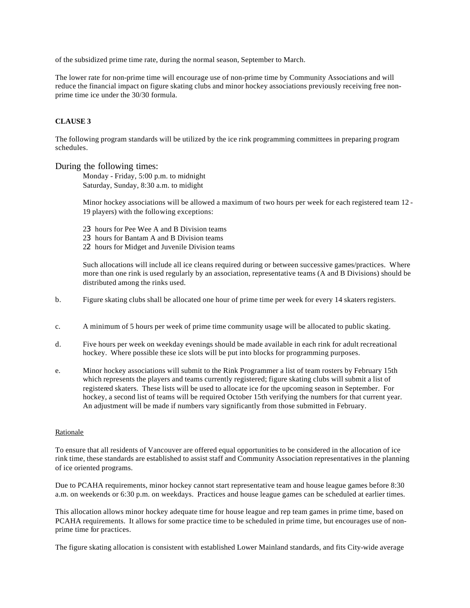of the subsidized prime time rate, during the normal season, September to March.

The lower rate for non-prime time will encourage use of non-prime time by Community Associations and will reduce the financial impact on figure skating clubs and minor hockey associations previously receiving free nonprime time ice under the 30/30 formula.

# **CLAUSE 3**

The following program standards will be utilized by the ice rink programming committees in preparing program schedules.

# During the following times:

Monday - Friday, 5:00 p.m. to midnight Saturday, Sunday, 8:30 a.m. to midight

Minor hockey associations will be allowed a maximum of two hours per week for each registered team 12 - 19 players) with the following exceptions:

23 hours for Pee Wee A and B Division teams 23 hours for Bantam A and B Division teams 22 hours for Midget and Juvenile Division teams

Such allocations will include all ice cleans required during or between successive games/practices. Where more than one rink is used regularly by an association, representative teams (A and B Divisions) should be distributed among the rinks used.

- b. Figure skating clubs shall be allocated one hour of prime time per week for every 14 skaters registers.
- c. A minimum of 5 hours per week of prime time community usage will be allocated to public skating.
- d. Five hours per week on weekday evenings should be made available in each rink for adult recreational hockey. Where possible these ice slots will be put into blocks for programming purposes.
- e. Minor hockey associations will submit to the Rink Programmer a list of team rosters by February 15th which represents the players and teams currently registered; figure skating clubs will submit a list of registered skaters. These lists will be used to allocate ice for the upcoming season in September. For hockey, a second list of teams will be required October 15th verifying the numbers for that current year. An adjustment will be made if numbers vary significantly from those submitted in February.

# Rationale

To ensure that all residents of Vancouver are offered equal opportunities to be considered in the allocation of ice rink time, these standards are established to assist staff and Community Association representatives in the planning of ice oriented programs.

Due to PCAHA requirements, minor hockey cannot start representative team and house league games before 8:30 a.m. on weekends or 6:30 p.m. on weekdays. Practices and house league games can be scheduled at earlier times.

This allocation allows minor hockey adequate time for house league and rep team games in prime time, based on PCAHA requirements. It allows for some practice time to be scheduled in prime time, but encourages use of nonprime time for practices.

The figure skating allocation is consistent with established Lower Mainland standards, and fits City-wide average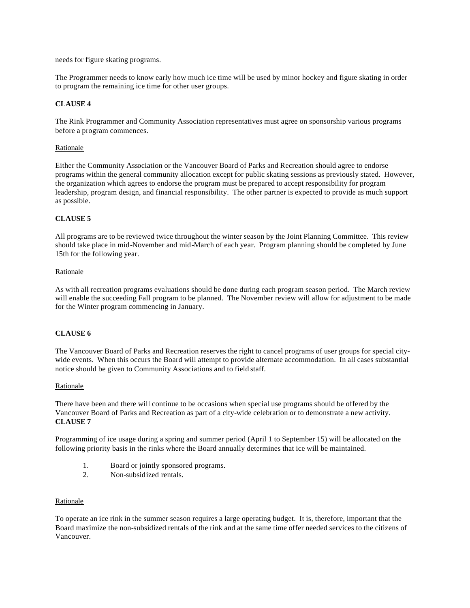needs for figure skating programs.

The Programmer needs to know early how much ice time will be used by minor hockey and figure skating in order to program the remaining ice time for other user groups.

# **CLAUSE 4**

The Rink Programmer and Community Association representatives must agree on sponsorship various programs before a program commences.

# Rationale

Either the Community Association or the Vancouver Board of Parks and Recreation should agree to endorse programs within the general community allocation except for public skating sessions as previously stated. However, the organization which agrees to endorse the program must be prepared to accept responsibility for program leadership, program design, and financial responsibility. The other partner is expected to provide as much support as possible.

# **CLAUSE 5**

All programs are to be reviewed twice throughout the winter season by the Joint Planning Committee. This review should take place in mid-November and mid-March of each year. Program planning should be completed by June 15th for the following year.

#### Rationale

As with all recreation programs evaluations should be done during each program season period. The March review will enable the succeeding Fall program to be planned. The November review will allow for adjustment to be made for the Winter program commencing in January.

# **CLAUSE 6**

The Vancouver Board of Parks and Recreation reserves the right to cancel programs of user groups for special citywide events. When this occurs the Board will attempt to provide alternate accommodation. In all cases substantial notice should be given to Community Associations and to field staff.

#### **Rationale**

There have been and there will continue to be occasions when special use programs should be offered by the Vancouver Board of Parks and Recreation as part of a city-wide celebration or to demonstrate a new activity. **CLAUSE 7**

Programming of ice usage during a spring and summer period (April 1 to September 15) will be allocated on the following priority basis in the rinks where the Board annually determines that ice will be maintained.

- 1. Board or jointly sponsored programs.
- 2. Non-subsidized rentals.

#### Rationale

To operate an ice rink in the summer season requires a large operating budget. It is, therefore, important that the Board maximize the non-subsidized rentals of the rink and at the same time offer needed services to the citizens of Vancouver.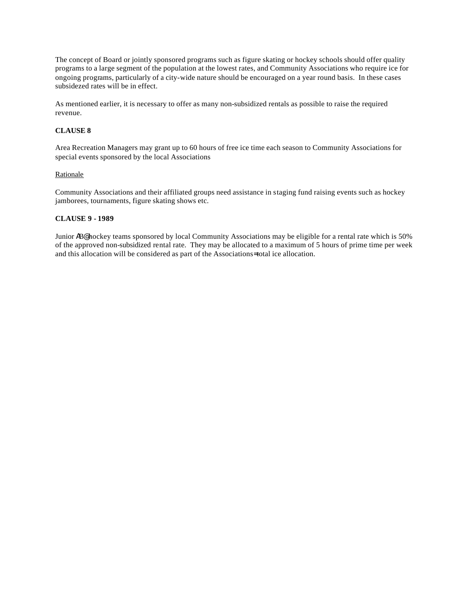The concept of Board or jointly sponsored programs such as figure skating or hockey schools should offer quality programs to a large segment of the population at the lowest rates, and Community Associations who require ice for ongoing programs, particularly of a city-wide nature should be encouraged on a year round basis. In these cases subsidezed rates will be in effect.

As mentioned earlier, it is necessary to offer as many non-subsidized rentals as possible to raise the required revenue.

# **CLAUSE 8**

Area Recreation Managers may grant up to 60 hours of free ice time each season to Community Associations for special events sponsored by the local Associations

# Rationale

Community Associations and their affiliated groups need assistance in staging fund raising events such as hockey jamborees, tournaments, figure skating shows etc.

# **CLAUSE 9 - 1989**

Junior AB@ hockey teams sponsored by local Community Associations may be eligible for a rental rate which is 50% of the approved non-subsidized rental rate. They may be allocated to a maximum of 5 hours of prime time per week and this allocation will be considered as part of the Associations= total ice allocation.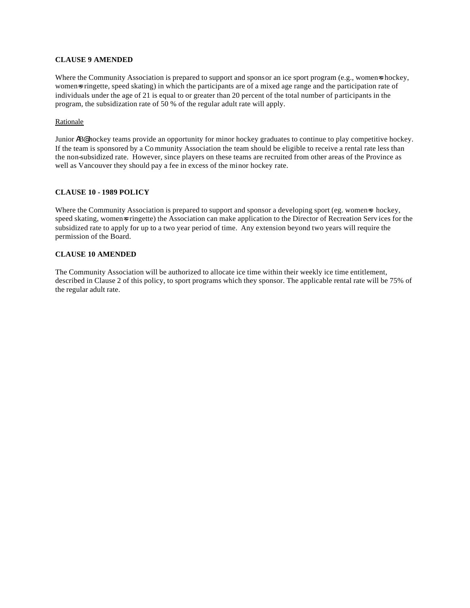# **CLAUSE 9 AMENDED**

Where the Community Association is prepared to support and sponsor an ice sport program (e.g., women=s hockey, womens ringette, speed skating) in which the participants are of a mixed age range and the participation rate of individuals under the age of 21 is equal to or greater than 20 percent of the total number of participants in the program, the subsidization rate of 50 % of the regular adult rate will apply.

# Rationale

Junior AB@ hockey teams provide an opportunity for minor hockey graduates to continue to play competitive hockey. If the team is sponsored by a Co mmunity Association the team should be eligible to receive a rental rate less than the non-subsidized rate. However, since players on these teams are recruited from other areas of the Province as well as Vancouver they should pay a fee in excess of the minor hockey rate.

# **CLAUSE 10 - 1989 POLICY**

Where the Community Association is prepared to support and sponsor a developing sport (eg. women=s hockey, speed skating, women=s ringette) the Association can make application to the Director of Recreation Serv ices for the subsidized rate to apply for up to a two year period of time. Any extension beyond two years will require the permission of the Board.

# **CLAUSE 10 AMENDED**

The Community Association will be authorized to allocate ice time within their weekly ice time entitlement, described in Clause 2 of this policy, to sport programs which they sponsor. The applicable rental rate will be 75% of the regular adult rate.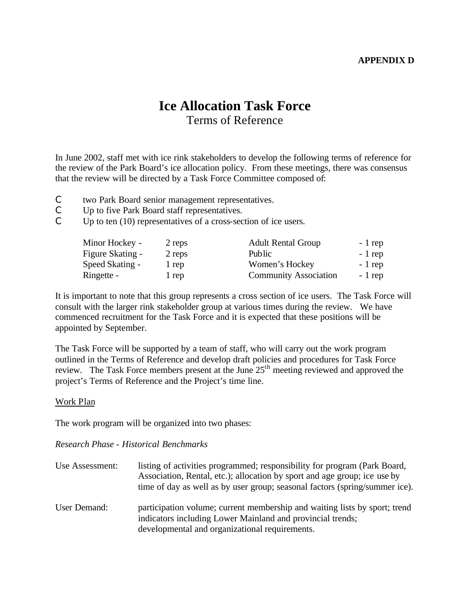# **APPENDIX D**

# **Ice Allocation Task Force** Terms of Reference

In June 2002, staff met with ice rink stakeholders to develop the following terms of reference for the review of the Park Board's ice allocation policy. From these meetings, there was consensus that the review will be directed by a Task Force Committee composed of:

- C two Park Board senior management representatives.
- C Up to five Park Board staff representatives.
- C Up to ten (10) representatives of a cross-section of ice users.

| Minor Hockey -   | 2 reps | <b>Adult Rental Group</b>    | $-1$ rep |
|------------------|--------|------------------------------|----------|
| Figure Skating - | 2 reps | Public                       | - 1 rep  |
| Speed Skating -  | 1 rep  | Women's Hockey               | $-1$ rep |
| Ringette -       | 1 rep  | <b>Community Association</b> | $-1$ rep |

It is important to note that this group represents a cross section of ice users. The Task Force will consult with the larger rink stakeholder group at various times during the review. We have commenced recruitment for the Task Force and it is expected that these positions will be appointed by September.

The Task Force will be supported by a team of staff, who will carry out the work program outlined in the Terms of Reference and develop draft policies and procedures for Task Force review. The Task Force members present at the June 25<sup>th</sup> meeting reviewed and approved the project's Terms of Reference and the Project's time line.

# Work Plan

The work program will be organized into two phases:

# *Research Phase - Historical Benchmarks*

| Use Assessment: | listing of activities programmed; responsibility for program (Park Board,<br>Association, Rental, etc.); allocation by sport and age group; ice use by<br>time of day as well as by user group; seasonal factors (spring/summer ice). |
|-----------------|---------------------------------------------------------------------------------------------------------------------------------------------------------------------------------------------------------------------------------------|
| User Demand:    | participation volume; current membership and waiting lists by sport; trend<br>indicators including Lower Mainland and provincial trends;<br>developmental and organizational requirements.                                            |